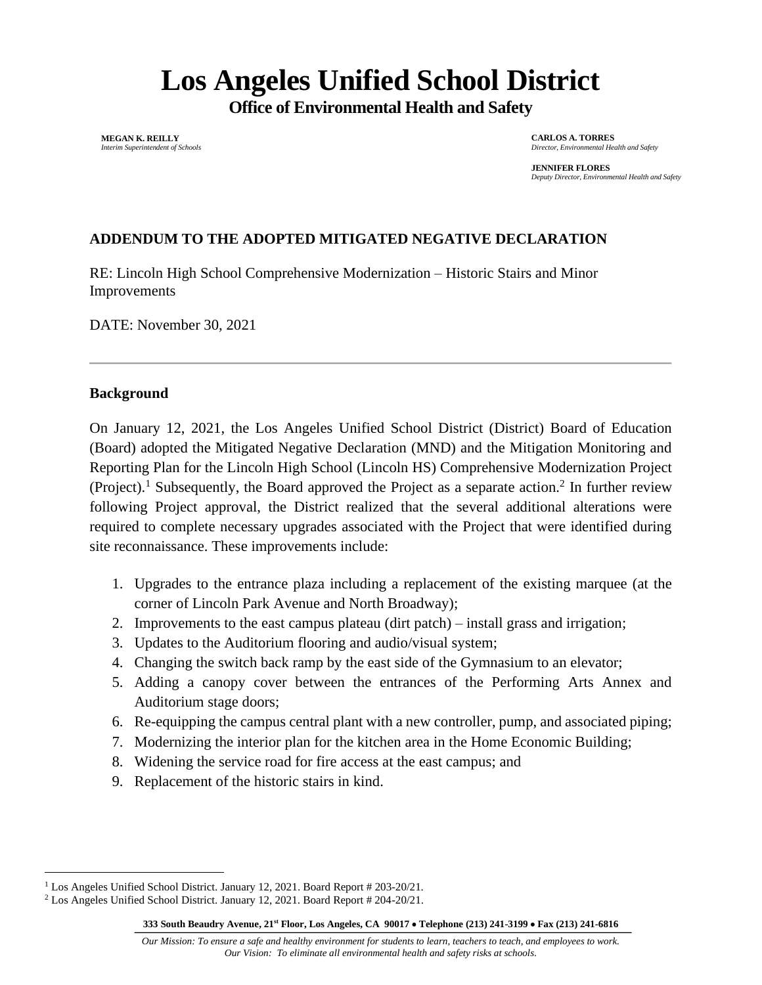# **Los Angeles Unified School District**

**Office of Environmental Health and Safety**

**MEGAN K. REILLY** *Interim Superintendent of Schools* **CARLOS A. TORRES** *Director, Environmental Health and Safety*

**JENNIFER FLORES** *Deputy Director, Environmental Health and Safety*

# **ADDENDUM TO THE ADOPTED MITIGATED NEGATIVE DECLARATION**

RE: Lincoln High School Comprehensive Modernization – Historic Stairs and Minor Improvements

DATE: November 30, 2021

#### **Background**

On January 12, 2021, the Los Angeles Unified School District (District) Board of Education (Board) adopted the Mitigated Negative Declaration (MND) and the Mitigation Monitoring and Reporting Plan for the Lincoln High School (Lincoln HS) Comprehensive Modernization Project (Project).<sup>1</sup> Subsequently, the Board approved the Project as a separate action.<sup>2</sup> In further review following Project approval, the District realized that the several additional alterations were required to complete necessary upgrades associated with the Project that were identified during site reconnaissance. These improvements include:

- 1. Upgrades to the entrance plaza including a replacement of the existing marquee (at the corner of Lincoln Park Avenue and North Broadway);
- 2. Improvements to the east campus plateau (dirt patch) install grass and irrigation;
- 3. Updates to the Auditorium flooring and audio/visual system;
- 4. Changing the switch back ramp by the east side of the Gymnasium to an elevator;
- 5. Adding a canopy cover between the entrances of the Performing Arts Annex and Auditorium stage doors;
- 6. Re-equipping the campus central plant with a new controller, pump, and associated piping;
- 7. Modernizing the interior plan for the kitchen area in the Home Economic Building;
- 8. Widening the service road for fire access at the east campus; and
- 9. Replacement of the historic stairs in kind.

**333 South Beaudry Avenue, 21 st Floor, Los Angeles, CA 90017** • **Telephone (213) 241-3199** • **Fax (213) 241-6816**

<sup>&</sup>lt;sup>1</sup> Los Angeles Unified School District. January 12, 2021. Board Report # 203-20/21.

<sup>2</sup> Los Angeles Unified School District. January 12, 2021. Board Report # 204-20/21.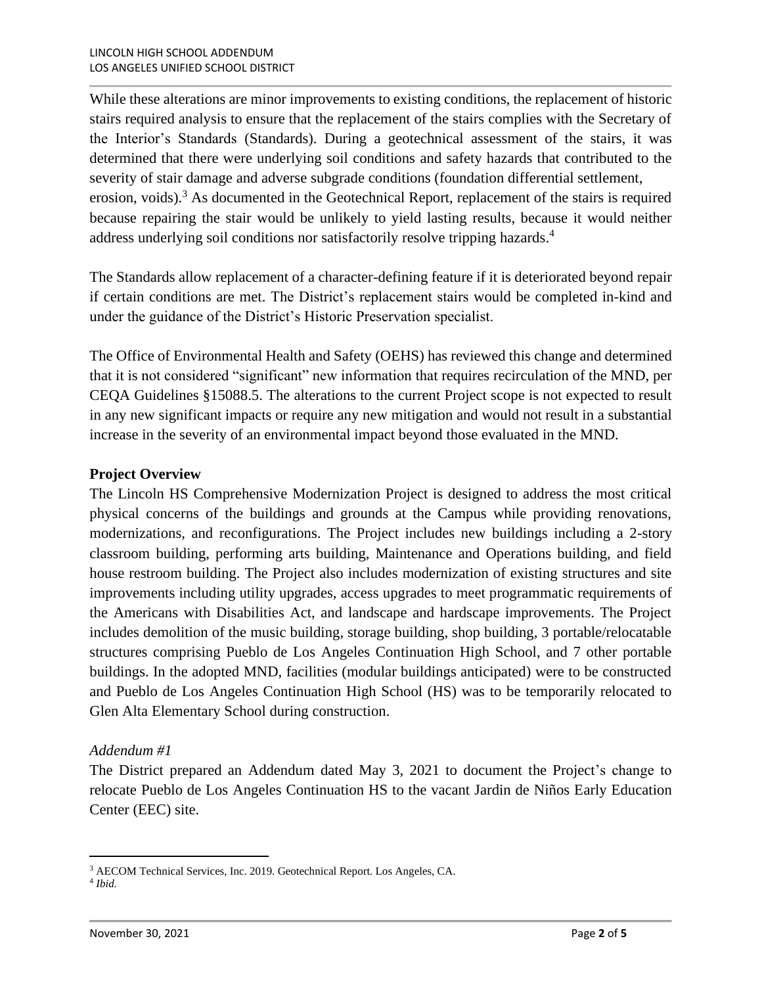While these alterations are minor improvements to existing conditions, the replacement of historic stairs required analysis to ensure that the replacement of the stairs complies with the Secretary of the Interior's Standards (Standards). During a geotechnical assessment of the stairs, it was determined that there were underlying soil conditions and safety hazards that contributed to the severity of stair damage and adverse subgrade conditions (foundation differential settlement, erosion, voids).<sup>3</sup> As documented in the Geotechnical Report, replacement of the stairs is required because repairing the stair would be unlikely to yield lasting results, because it would neither address underlying soil conditions nor satisfactorily resolve tripping hazards.<sup>4</sup>

The Standards allow replacement of a character-defining feature if it is deteriorated beyond repair if certain conditions are met. The District's replacement stairs would be completed in-kind and under the guidance of the District's Historic Preservation specialist.

The Office of Environmental Health and Safety (OEHS) has reviewed this change and determined that it is not considered "significant" new information that requires recirculation of the MND, per CEQA Guidelines §15088.5. The alterations to the current Project scope is not expected to result in any new significant impacts or require any new mitigation and would not result in a substantial increase in the severity of an environmental impact beyond those evaluated in the MND.

## **Project Overview**

The Lincoln HS Comprehensive Modernization Project is designed to address the most critical physical concerns of the buildings and grounds at the Campus while providing renovations, modernizations, and reconfigurations. The Project includes new buildings including a 2-story classroom building, performing arts building, Maintenance and Operations building, and field house restroom building. The Project also includes modernization of existing structures and site improvements including utility upgrades, access upgrades to meet programmatic requirements of the Americans with Disabilities Act, and landscape and hardscape improvements. The Project includes demolition of the music building, storage building, shop building, 3 portable/relocatable structures comprising Pueblo de Los Angeles Continuation High School, and 7 other portable buildings. In the adopted MND, facilities (modular buildings anticipated) were to be constructed and Pueblo de Los Angeles Continuation High School (HS) was to be temporarily relocated to Glen Alta Elementary School during construction.

## *Addendum #1*

The District prepared an Addendum dated May 3, 2021 to document the Project's change to relocate Pueblo de Los Angeles Continuation HS to the vacant Jardin de Niños Early Education Center (EEC) site.

<sup>3</sup> AECOM Technical Services, Inc. 2019. Geotechnical Report. Los Angeles, CA.

<sup>4</sup> *Ibid.*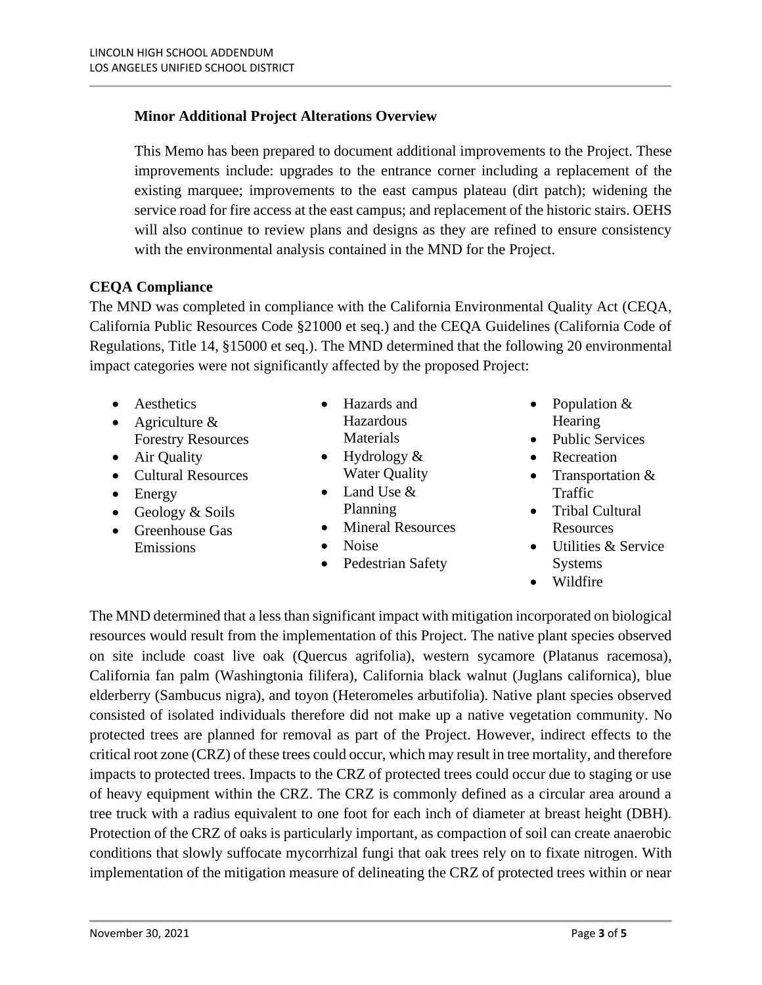# **Minor Additional Project Alterations Overview**

This Memo has been prepared to document additional improvements to the Project. These improvements include: upgrades to the entrance corner including a replacement of the existing marquee; improvements to the east campus plateau (dirt patch); widening the service road for fire access at the east campus; and replacement of the historic stairs. OEHS will also continue to review plans and designs as they are refined to ensure consistency with the environmental analysis contained in the MND for the Project.

## **CEQA Compliance**

The MND was completed in compliance with the California Environmental Quality Act (CEQA, California Public Resources Code §21000 et seq.) and the CEQA Guidelines (California Code of Regulations, Title 14, §15000 et seq.). The MND determined that the following 20 environmental impact categories were not significantly affected by the proposed Project:

- Aesthetics
- Agriculture & Forestry Resources
- Air Quality
- Cultural Resources
- Energy
- Geology & Soils
- Greenhouse Gas Emissions
- Hazards and Hazardous Materials
- Hydrology  $\&$ Water Quality
- Land Use & Planning
- Mineral Resources
- Noise
- Pedestrian Safety
- Population & **Hearing**
- Public Services
- Recreation
- Transportation & Traffic
- Tribal Cultural Resources
- Utilities & Service Systems
- Wildfire

The MND determined that a less than significant impact with mitigation incorporated on biological resources would result from the implementation of this Project. The native plant species observed on site include coast live oak (Quercus agrifolia), western sycamore (Platanus racemosa), California fan palm (Washingtonia filifera), California black walnut (Juglans californica), blue elderberry (Sambucus nigra), and toyon (Heteromeles arbutifolia). Native plant species observed consisted of isolated individuals therefore did not make up a native vegetation community. No protected trees are planned for removal as part of the Project. However, indirect effects to the critical root zone (CRZ) of these trees could occur, which may result in tree mortality, and therefore impacts to protected trees. Impacts to the CRZ of protected trees could occur due to staging or use of heavy equipment within the CRZ. The CRZ is commonly defined as a circular area around a tree truck with a radius equivalent to one foot for each inch of diameter at breast height (DBH). Protection of the CRZ of oaks is particularly important, as compaction of soil can create anaerobic conditions that slowly suffocate mycorrhizal fungi that oak trees rely on to fixate nitrogen. With implementation of the mitigation measure of delineating the CRZ of protected trees within or near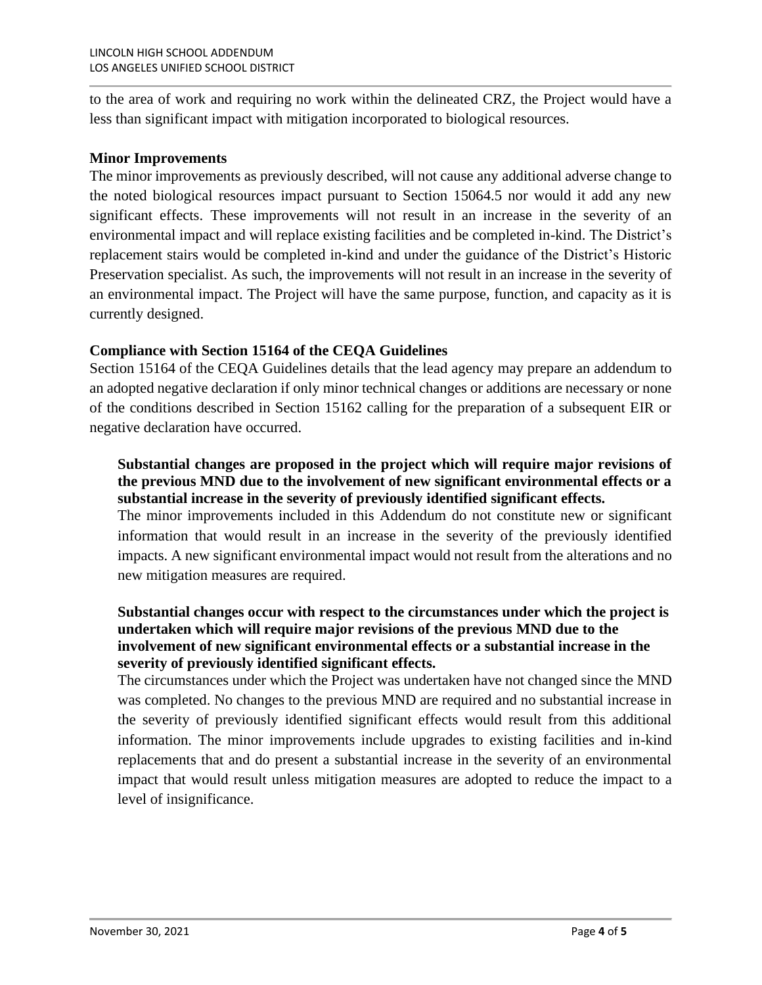to the area of work and requiring no work within the delineated CRZ, the Project would have a less than significant impact with mitigation incorporated to biological resources.

#### **Minor Improvements**

The minor improvements as previously described, will not cause any additional adverse change to the noted biological resources impact pursuant to Section 15064.5 nor would it add any new significant effects. These improvements will not result in an increase in the severity of an environmental impact and will replace existing facilities and be completed in-kind. The District's replacement stairs would be completed in-kind and under the guidance of the District's Historic Preservation specialist. As such, the improvements will not result in an increase in the severity of an environmental impact. The Project will have the same purpose, function, and capacity as it is currently designed.

## **Compliance with Section 15164 of the CEQA Guidelines**

Section 15164 of the CEQA Guidelines details that the lead agency may prepare an addendum to an adopted negative declaration if only minor technical changes or additions are necessary or none of the conditions described in Section 15162 calling for the preparation of a subsequent EIR or negative declaration have occurred.

## **Substantial changes are proposed in the project which will require major revisions of the previous MND due to the involvement of new significant environmental effects or a substantial increase in the severity of previously identified significant effects.**

The minor improvements included in this Addendum do not constitute new or significant information that would result in an increase in the severity of the previously identified impacts. A new significant environmental impact would not result from the alterations and no new mitigation measures are required.

#### **Substantial changes occur with respect to the circumstances under which the project is undertaken which will require major revisions of the previous MND due to the involvement of new significant environmental effects or a substantial increase in the severity of previously identified significant effects.**

The circumstances under which the Project was undertaken have not changed since the MND was completed. No changes to the previous MND are required and no substantial increase in the severity of previously identified significant effects would result from this additional information. The minor improvements include upgrades to existing facilities and in-kind replacements that and do present a substantial increase in the severity of an environmental impact that would result unless mitigation measures are adopted to reduce the impact to a level of insignificance.